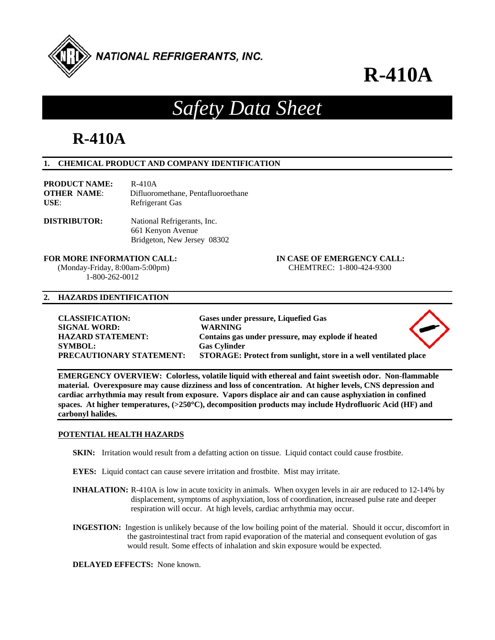

## *Safety Data Sheet*

## **R-410A**

### **1. CHEMICAL PRODUCT AND COMPANY IDENTIFICATION**

| <b>PRODUCT NAME:</b> | R-410A                             |
|----------------------|------------------------------------|
| <b>OTHER NAME:</b>   | Difluoromethane, Pentafluoroethane |
| $USE:$               | Refrigerant Gas                    |

**DISTRIBUTOR:** National Refrigerants, Inc. 661 Kenyon Avenue Bridgeton, New Jersey 08302

 (Monday-Friday, 8:00am-5:00pm) CHEMTREC: 1-800-424-9300 1-800-262-0012

**FOR MORE INFORMATION CALL: IN CASE OF EMERGENCY CALL:** 

#### **2. HAZARDS IDENTIFICATION**

| <b>CLASSIFICATION:</b>   | Gases under pressure, Liquefied Gas                              |  |
|--------------------------|------------------------------------------------------------------|--|
| <b>SIGNAL WORD:</b>      | <b>WARNING</b>                                                   |  |
| <b>HAZARD STATEMENT:</b> | Contains gas under pressure, may explode if heated               |  |
| <b>SYMBOL:</b>           | <b>Gas Cylinder</b>                                              |  |
| PRECAUTIONARY STATEMENT: | STORAGE: Protect from sunlight, store in a well ventilated place |  |
|                          |                                                                  |  |

**EMERGENCY OVERVIEW: Colorless, volatile liquid with ethereal and faint sweetish odor. Non-flammable material. Overexposure may cause dizziness and loss of concentration. At higher levels, CNS depression and cardiac arrhythmia may result from exposure. Vapors displace air and can cause asphyxiation in confined spaces. At higher temperatures, (>250C), decomposition products may include Hydrofluoric Acid (HF) and carbonyl halides.** 

#### **POTENTIAL HEALTH HAZARDS**

- **SKIN:** Irritation would result from a defatting action on tissue. Liquid contact could cause frostbite.
- **EYES:** Liquid contact can cause severe irritation and frostbite. Mist may irritate.
- **INHALATION:** R-410A is low in acute toxicity in animals. When oxygen levels in air are reduced to 12-14% by displacement, symptoms of asphyxiation, loss of coordination, increased pulse rate and deeper respiration will occur. At high levels, cardiac arrhythmia may occur.
- **INGESTION:** Ingestion is unlikely because of the low boiling point of the material. Should it occur, discomfort in the gastrointestinal tract from rapid evaporation of the material and consequent evolution of gas would result. Some effects of inhalation and skin exposure would be expected.

**DELAYED EFFECTS:** None known.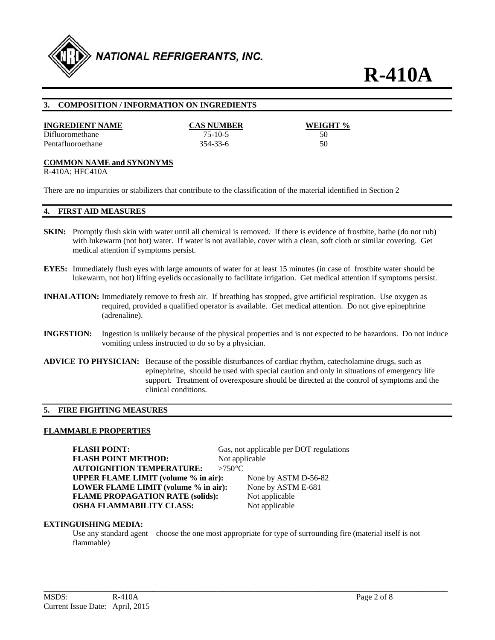

#### **3. COMPOSITION / INFORMATION ON INGREDIENTS**

#### **INGREDIENT NAME CAS NUMBER WEIGHT %**

Difluoromethane 75-10-5 50 Pentafluoroethane 354-33-6 50

#### **COMMON NAME and SYNONYMS**

R-410A; HFC410A

There are no impurities or stabilizers that contribute to the classification of the material identified in Section 2

#### **4. FIRST AID MEASURES**

- **SKIN:** Promptly flush skin with water until all chemical is removed. If there is evidence of frostbite, bathe (do not rub) with lukewarm (not hot) water. If water is not available, cover with a clean, soft cloth or similar covering. Get medical attention if symptoms persist.
- **EYES:** Immediately flush eyes with large amounts of water for at least 15 minutes (in case of frostbite water should be lukewarm, not hot) lifting eyelids occasionally to facilitate irrigation. Get medical attention if symptoms persist.
- **INHALATION:** Immediately remove to fresh air. If breathing has stopped, give artificial respiration. Use oxygen as required, provided a qualified operator is available. Get medical attention. Do not give epinephrine (adrenaline).
- **INGESTION:** Ingestion is unlikely because of the physical properties and is not expected to be hazardous. Do not induce vomiting unless instructed to do so by a physician.
- **ADVICE TO PHYSICIAN:** Because of the possible disturbances of cardiac rhythm, catecholamine drugs, such as epinephrine, should be used with special caution and only in situations of emergency life support. Treatment of overexposure should be directed at the control of symptoms and the clinical conditions.

#### **5. FIRE FIGHTING MEASURES**

#### **FLAMMABLE PROPERTIES**

**FLASH POINT:** Gas, not applicable per DOT regulations **FLASH POINT METHOD:** Not applicable **AUTOIGNITION TEMPERATURE: >750°C UPPER FLAME LIMIT (volume % in air):** None by ASTM D-56-82 **LOWER FLAME LIMIT (volume % in air):** None by ASTM E-681 **FLAME PROPAGATION RATE (solids):** Not applicable **OSHA FLAMMABILITY CLASS:** Not applicable

#### **EXTINGUISHING MEDIA:**

Use any standard agent – choose the one most appropriate for type of surrounding fire (material itself is not flammable)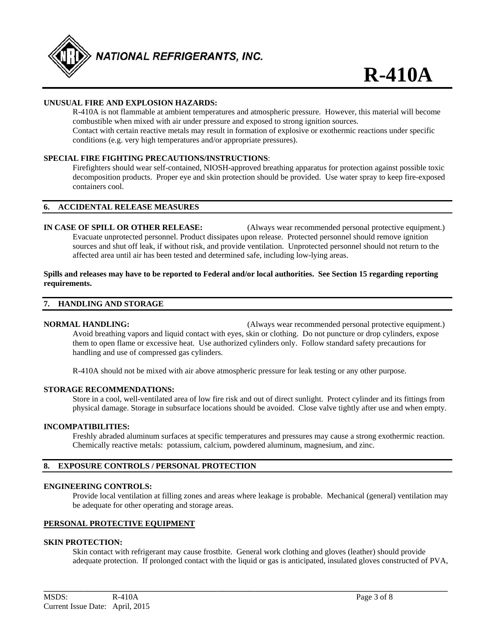

#### **UNUSUAL FIRE AND EXPLOSION HAZARDS:**

 R-410A is not flammable at ambient temperatures and atmospheric pressure. However, this material will become combustible when mixed with air under pressure and exposed to strong ignition sources. Contact with certain reactive metals may result in formation of explosive or exothermic reactions under specific conditions (e.g. very high temperatures and/or appropriate pressures).

#### **SPECIAL FIRE FIGHTING PRECAUTIONS/INSTRUCTIONS**:

 Firefighters should wear self-contained, NIOSH-approved breathing apparatus for protection against possible toxic decomposition products. Proper eye and skin protection should be provided. Use water spray to keep fire-exposed containers cool.

#### **6. ACCIDENTAL RELEASE MEASURES**

**IN CASE OF SPILL OR OTHER RELEASE:** (Always wear recommended personal protective equipment.) Evacuate unprotected personnel. Product dissipates upon release. Protected personnel should remove ignition sources and shut off leak, if without risk, and provide ventilation. Unprotected personnel should not return to the affected area until air has been tested and determined safe, including low-lying areas.

#### **Spills and releases may have to be reported to Federal and/or local authorities. See Section 15 regarding reporting requirements.**

#### **7. HANDLING AND STORAGE**

**NORMAL HANDLING:** (Always wear recommended personal protective equipment.) Avoid breathing vapors and liquid contact with eyes, skin or clothing. Do not puncture or drop cylinders, expose them to open flame or excessive heat. Use authorized cylinders only. Follow standard safety precautions for handling and use of compressed gas cylinders.

R-410A should not be mixed with air above atmospheric pressure for leak testing or any other purpose.

#### **STORAGE RECOMMENDATIONS:**

Store in a cool, well-ventilated area of low fire risk and out of direct sunlight. Protect cylinder and its fittings from physical damage. Storage in subsurface locations should be avoided. Close valve tightly after use and when empty.

#### **INCOMPATIBILITIES:**

Freshly abraded aluminum surfaces at specific temperatures and pressures may cause a strong exothermic reaction. Chemically reactive metals: potassium, calcium, powdered aluminum, magnesium, and zinc.

#### **8. EXPOSURE CONTROLS / PERSONAL PROTECTION**

#### **ENGINEERING CONTROLS:**

Provide local ventilation at filling zones and areas where leakage is probable. Mechanical (general) ventilation may be adequate for other operating and storage areas.

#### **PERSONAL PROTECTIVE EQUIPMENT**

#### **SKIN PROTECTION:**

Skin contact with refrigerant may cause frostbite. General work clothing and gloves (leather) should provide adequate protection. If prolonged contact with the liquid or gas is anticipated, insulated gloves constructed of PVA,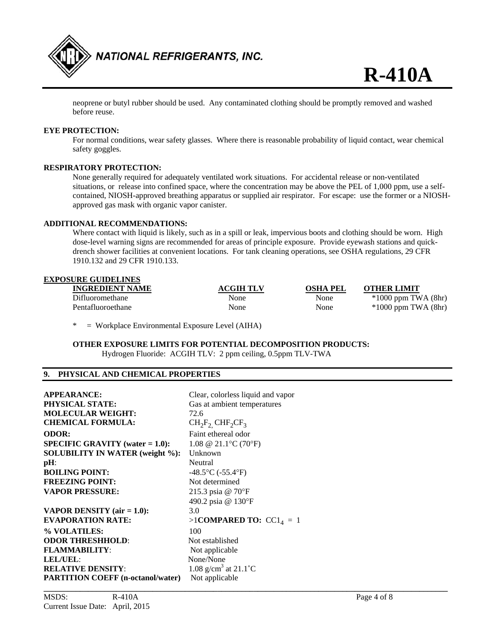

neoprene or butyl rubber should be used. Any contaminated clothing should be promptly removed and washed before reuse.

#### **EYE PROTECTION:**

For normal conditions, wear safety glasses. Where there is reasonable probability of liquid contact, wear chemical safety goggles.

#### **RESPIRATORY PROTECTION:**

None generally required for adequately ventilated work situations. For accidental release or non-ventilated situations, or release into confined space, where the concentration may be above the PEL of 1,000 ppm, use a selfcontained, NIOSH-approved breathing apparatus or supplied air respirator. For escape: use the former or a NIOSHapproved gas mask with organic vapor canister.

#### **ADDITIONAL RECOMMENDATIONS:**

Where contact with liquid is likely, such as in a spill or leak, impervious boots and clothing should be worn. High dose-level warning signs are recommended for areas of principle exposure. Provide eyewash stations and quickdrench shower facilities at convenient locations. For tank cleaning operations, see OSHA regulations, 29 CFR 1910.132 and 29 CFR 1910.133.

#### **EXPOSURE GUIDELINES**

| <b>INGREDIENT NAME</b> | <b>ACGIH TLV</b> | OSHA PEL | <b>OTHER LIMIT</b>      |
|------------------------|------------------|----------|-------------------------|
| Difluoromethane        | None             | None     | $*1000$ ppm TWA (8hr)   |
| Pentafluoroethane      | None             | None     | $*1000$ ppm TWA $(8hr)$ |
|                        |                  |          |                         |

\* = Workplace Environmental Exposure Level (AIHA)

**OTHER EXPOSURE LIMITS FOR POTENTIAL DECOMPOSITION PRODUCTS:**  Hydrogen Fluoride: ACGIH TLV: 2 ppm ceiling, 0.5ppm TLV-TWA

#### **9. PHYSICAL AND CHEMICAL PROPERTIES**

| <b>APPEARANCE:</b>                        | Clear, colorless liquid and vapor          |
|-------------------------------------------|--------------------------------------------|
| <b>PHYSICAL STATE:</b>                    | Gas at ambient temperatures                |
| <b>MOLECULAR WEIGHT:</b>                  | 72.6                                       |
| <b>CHEMICAL FORMULA:</b>                  | $CH_2F_2$ CHF <sub>2</sub> CF <sub>3</sub> |
| <b>ODOR:</b>                              | Faint ethereal odor                        |
| <b>SPECIFIC GRAVITY</b> (water $= 1.0$ ): | 1.08 @ 21.1 °C (70 °F)                     |
| <b>SOLUBILITY IN WATER (weight %):</b>    | Unknown                                    |
| $pH$ :                                    | Neutral                                    |
| <b>BOILING POINT:</b>                     | $-48.5$ °C ( $-55.4$ °F)                   |
| <b>FREEZING POINT:</b>                    | Not determined                             |
| <b>VAPOR PRESSURE:</b>                    | 215.3 psia @ 70°F                          |
|                                           | 490.2 psia @ 130°F                         |
| <b>VAPOR DENSITY</b> (air $= 1.0$ ):      | 3.0                                        |
| <b>EVAPORATION RATE:</b>                  | >1COMPARED TO: $CC14 = 1$                  |
| % VOLATILES:                              | 100                                        |
| <b>ODOR THRESHHOLD:</b>                   | Not established                            |
| <b>FLAMMABILITY:</b>                      | Not applicable                             |
| LEL/UEL:                                  | None/None                                  |
| <b>RELATIVE DENSITY:</b>                  | 1.08 g/cm <sup>3</sup> at 21.1 °C          |
| <b>PARTITION COEFF (n-octanol/water)</b>  | Not applicable                             |
|                                           |                                            |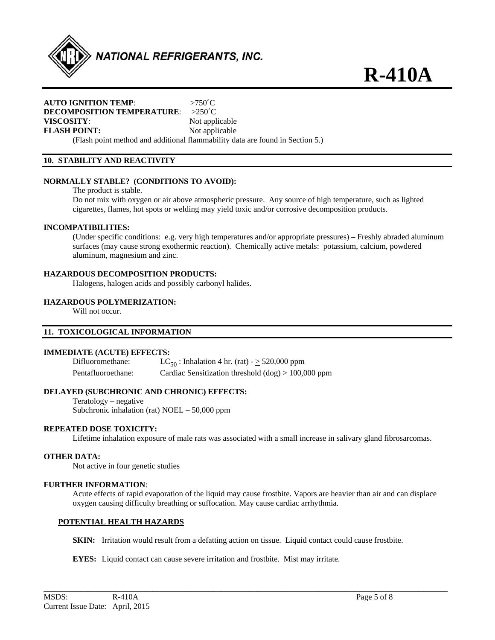

#### **AUTO IGNITION TEMP**: >750˚C **DECOMPOSITION TEMPERATURE**: >250˚C **VISCOSITY:** Not applicable **FLASH POINT:** Not applicable

(Flash point method and additional flammability data are found in Section 5.)

### **10. STABILITY AND REACTIVITY**

#### **NORMALLY STABLE? (CONDITIONS TO AVOID):**

The product is stable.

Do not mix with oxygen or air above atmospheric pressure. Any source of high temperature, such as lighted cigarettes, flames, hot spots or welding may yield toxic and/or corrosive decomposition products.

#### **INCOMPATIBILITIES:**

(Under specific conditions: e.g. very high temperatures and/or appropriate pressures) – Freshly abraded aluminum surfaces (may cause strong exothermic reaction). Chemically active metals: potassium, calcium, powdered aluminum, magnesium and zinc.

#### **HAZARDOUS DECOMPOSITION PRODUCTS:**

Halogens, halogen acids and possibly carbonyl halides.

#### **HAZARDOUS POLYMERIZATION:**

Will not occur.

#### **11. TOXICOLOGICAL INFORMATION**

#### **IMMEDIATE (ACUTE) EFFECTS:**

Difluoromethane:  $LC_{50}$ : Inhalation 4 hr. (rat) -  $\geq$  520,000 ppm Pentafluoroethane: Cardiac Sensitization threshold  $(dog) \ge 100,000$  ppm

#### **DELAYED (SUBCHRONIC AND CHRONIC) EFFECTS:**

Teratology – negative Subchronic inhalation (rat) NOEL – 50,000 ppm

#### **REPEATED DOSE TOXICITY:**

Lifetime inhalation exposure of male rats was associated with a small increase in salivary gland fibrosarcomas.

#### **OTHER DATA:**

Not active in four genetic studies

#### **FURTHER INFORMATION**:

Acute effects of rapid evaporation of the liquid may cause frostbite. Vapors are heavier than air and can displace oxygen causing difficulty breathing or suffocation. May cause cardiac arrhythmia.

#### **POTENTIAL HEALTH HAZARDS**

**SKIN:** Irritation would result from a defatting action on tissue. Liquid contact could cause frostbite.

**\_\_\_\_\_\_\_\_\_\_\_\_\_\_\_\_\_\_\_\_\_\_\_\_\_\_\_\_\_\_\_\_\_\_\_\_\_\_\_\_\_\_\_\_\_\_\_\_\_\_\_\_\_\_\_\_\_\_\_\_\_\_\_\_\_\_\_\_\_\_\_\_\_\_\_\_\_\_\_\_\_\_\_\_\_\_\_\_\_\_\_\_\_\_\_\_\_\_\_\_** 

**EYES:** Liquid contact can cause severe irritation and frostbite. Mist may irritate.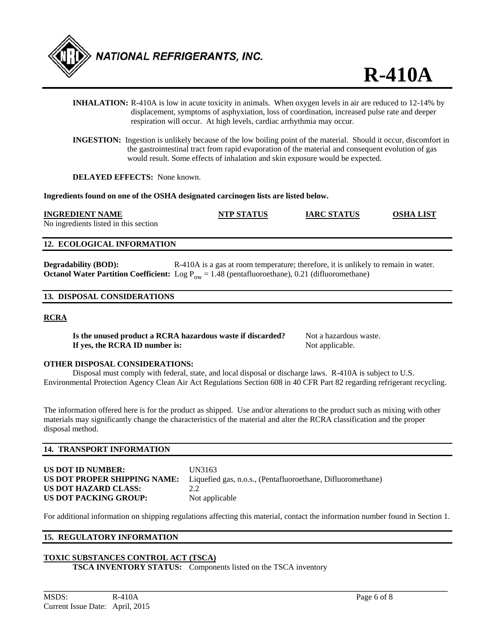

|                                                                 |                                     | respiration will occur. At high levels, cardiac arrhythmia may occur.                                       | <b>INHALATION:</b> R-410A is low in acute toxicity in animals. When oxygen levels in air are reduced to 12-14% by<br>displacement, symptoms of asphyxiation, loss of coordination, increased pulse rate and deeper                                                                                             |           |
|-----------------------------------------------------------------|-------------------------------------|-------------------------------------------------------------------------------------------------------------|----------------------------------------------------------------------------------------------------------------------------------------------------------------------------------------------------------------------------------------------------------------------------------------------------------------|-----------|
|                                                                 |                                     |                                                                                                             | <b>INGESTION:</b> Ingestion is unlikely because of the low boiling point of the material. Should it occur, discomfort in<br>the gastrointestinal tract from rapid evaporation of the material and consequent evolution of gas<br>would result. Some effects of inhalation and skin exposure would be expected. |           |
|                                                                 | <b>DELAYED EFFECTS:</b> None known. |                                                                                                             |                                                                                                                                                                                                                                                                                                                |           |
|                                                                 |                                     | Ingredients found on one of the OSHA designated carcinogen lists are listed below.                          |                                                                                                                                                                                                                                                                                                                |           |
| <b>INGREDIENT NAME</b><br>No ingredients listed in this section |                                     | NTP STATUS                                                                                                  | <b>IARC STATUS</b>                                                                                                                                                                                                                                                                                             | OSHA LIST |
| <b>12. ECOLOGICAL INFORMATION</b>                               |                                     |                                                                                                             |                                                                                                                                                                                                                                                                                                                |           |
| <b>Degradability (BOD):</b>                                     |                                     | <b>Octanol Water Partition Coefficient:</b> Log $P_{ow} = 1.48$ (pentafluoroethane), 0.21 (difluoromethane) | R-410A is a gas at room temperature; therefore, it is unlikely to remain in water.                                                                                                                                                                                                                             |           |

#### **13. DISPOSAL CONSIDERATIONS**

#### **RCRA**

**Is the unused product a RCRA hazardous waste if discarded?** Not a hazardous waste. **If yes, the RCRA ID number is:** Not applicable.

#### **OTHER DISPOSAL CONSIDERATIONS:**

 Disposal must comply with federal, state, and local disposal or discharge laws. R-410A is subject to U.S. Environmental Protection Agency Clean Air Act Regulations Section 608 in 40 CFR Part 82 regarding refrigerant recycling.

The information offered here is for the product as shipped. Use and/or alterations to the product such as mixing with other materials may significantly change the characteristics of the material and alter the RCRA classification and the proper disposal method.

#### **14. TRANSPORT INFORMATION**

| US DOT ID NUMBER:            | UN  |
|------------------------------|-----|
| US DOT PROPER SHIPPING NAME: | Lig |
| US DOT HAZARD CLASS:         | 2.2 |
| US DOT PACKING GROUP:        | Not |

**UN3163** Liquefied gas, n.o.s., (Pentafluoroethane, Difluoromethane) Not applicable

For additional information on shipping regulations affecting this material, contact the information number found in Section 1.

**\_\_\_\_\_\_\_\_\_\_\_\_\_\_\_\_\_\_\_\_\_\_\_\_\_\_\_\_\_\_\_\_\_\_\_\_\_\_\_\_\_\_\_\_\_\_\_\_\_\_\_\_\_\_\_\_\_\_\_\_\_\_\_\_\_\_\_\_\_\_\_\_\_\_\_\_\_\_\_\_\_\_\_\_\_\_\_\_\_\_\_\_\_\_\_\_\_\_\_\_** 

#### **15. REGULATORY INFORMATION**

### **TOXIC SUBSTANCES CONTROL ACT (TSCA)**

**TSCA INVENTORY STATUS:** Components listed on the TSCA inventory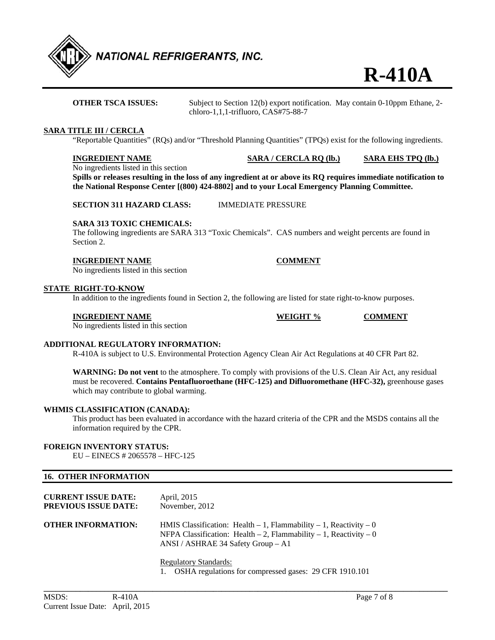

**OTHER TSCA ISSUES:** Subject to Section 12(b) export notification. May contain 0-10ppm Ethane, 2chloro-1,1,1-trifluoro, CAS#75-88-7

#### **SARA TITLE III / CERCLA**

"Reportable Quantities" (RQs) and/or "Threshold Planning Quantities" (TPQs) exist for the following ingredients.

**INGREDIENT NAME SARA / CERCLA RQ (lb.) SARA EHS TPQ (lb.)**

No ingredients listed in this section

**Spills or releases resulting in the loss of any ingredient at or above its RQ requires immediate notification to the National Response Center [(800) 424-8802] and to your Local Emergency Planning Committee.** 

**SECTION 311 HAZARD CLASS:** IMMEDIATE PRESSURE

#### **SARA 313 TOXIC CHEMICALS:**

The following ingredients are SARA 313 "Toxic Chemicals". CAS numbers and weight percents are found in Section 2.

#### **INGREDIENT NAME COMMENT**

No ingredients listed in this section

#### **STATE RIGHT-TO-KNOW**

In addition to the ingredients found in Section 2, the following are listed for state right-to-know purposes.

#### **INGREDIENT NAME WEIGHT % COMMENT**

No ingredients listed in this section

### **ADDITIONAL REGULATORY INFORMATION:**

R-410A is subject to U.S. Environmental Protection Agency Clean Air Act Regulations at 40 CFR Part 82.

**WARNING: Do not vent** to the atmosphere. To comply with provisions of the U.S. Clean Air Act, any residual must be recovered. **Contains Pentafluoroethane (HFC-125) and Difluoromethane (HFC-32),** greenhouse gases which may contribute to global warming.

#### **WHMIS CLASSIFICATION (CANADA):**

This product has been evaluated in accordance with the hazard criteria of the CPR and the MSDS contains all the information required by the CPR.

#### **FOREIGN INVENTORY STATUS:**

EU – EINECS # 2065578 – HFC-125

### **16. OTHER INFORMATION**

| <b>CURRENT ISSUE DATE:</b><br><b>PREVIOUS ISSUE DATE:</b> | April, 2015<br>November, 2012                                                                                                                                                                                                                                                                                                                                            |
|-----------------------------------------------------------|--------------------------------------------------------------------------------------------------------------------------------------------------------------------------------------------------------------------------------------------------------------------------------------------------------------------------------------------------------------------------|
| <b>OTHER INFORMATION:</b>                                 | HMIS Classification: Health $-1$ , Flammability $-1$ , Reactivity $-0$<br>NFPA Classification: Health $-2$ , Flammability $-1$ , Reactivity $-0$<br>ANSI / ASHRAE 34 Safety Group $-$ A1                                                                                                                                                                                 |
|                                                           | <b>Regulatory Standards:</b><br>$\overline{O}$ (1, $\overline{O}$ (1, $\overline{O}$ (1, $\overline{O}$ (1, $\overline{O}$ (1, $\overline{O}$ 1, $\overline{O}$ 1, $\overline{O}$ 1, $\overline{O}$ 1, $\overline{O}$ 1, $\overline{O}$ 1, $\overline{O}$ 1, $\overline{O}$ 1, $\overline{O}$ 1, $\overline{O}$ 1, $\overline{O}$ 1, $\overline{O}$ 1, $\overline{O}$ 1, |

1. OSHA regulations for compressed gases: 29 CFR 1910.101